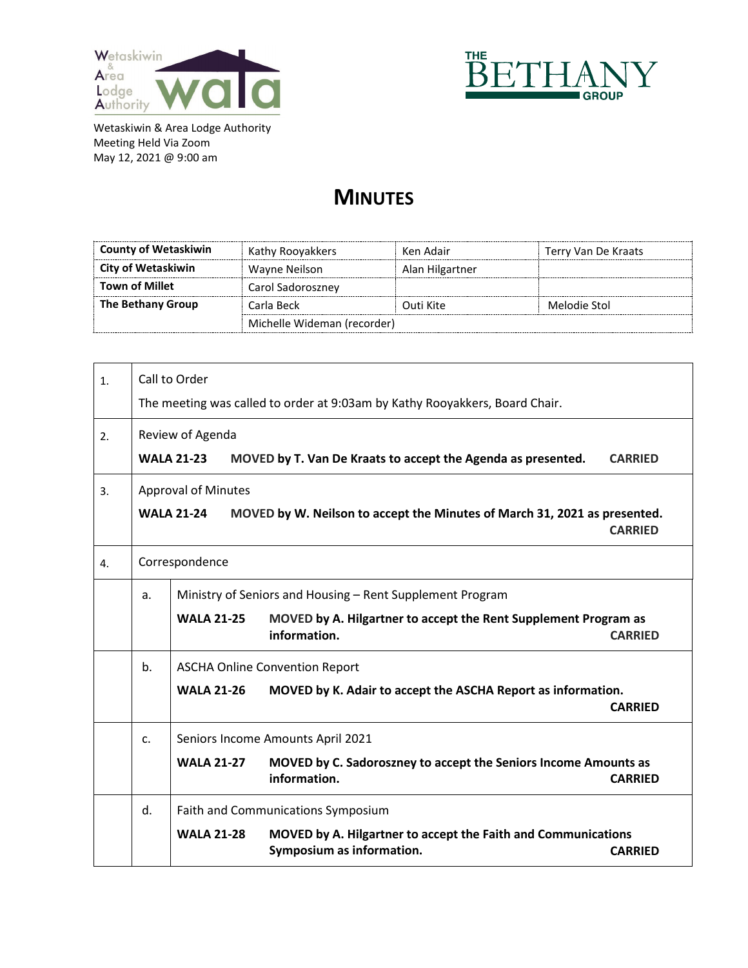



## **MINUTES**

| <b>County of Wetaskiwin</b> | Kathy Rooyakkers            | Ken Adair       | Terry Van De Kraats |
|-----------------------------|-----------------------------|-----------------|---------------------|
| <b>City of Wetaskiwin</b>   | Wayne Neilson               | Alan Hilgartner |                     |
| <b>Town of Millet</b>       | Carol Sadoroszney           |                 |                     |
| The Bethany Group           | Carla Beck                  | Outi Kite       | Melodie Stol        |
|                             | Michelle Wideman (recorder) |                 |                     |

| 1. | Call to Order |                                    |                                                                                            |                |
|----|---------------|------------------------------------|--------------------------------------------------------------------------------------------|----------------|
|    |               |                                    | The meeting was called to order at 9:03am by Kathy Rooyakkers, Board Chair.                |                |
| 2. |               | Review of Agenda                   |                                                                                            |                |
|    |               | <b>WALA 21-23</b>                  | MOVED by T. Van De Kraats to accept the Agenda as presented.                               | <b>CARRIED</b> |
| 3. |               | <b>Approval of Minutes</b>         |                                                                                            |                |
|    |               | <b>WALA 21-24</b>                  | MOVED by W. Neilson to accept the Minutes of March 31, 2021 as presented.                  | <b>CARRIED</b> |
| 4. |               | Correspondence                     |                                                                                            |                |
|    | a.            |                                    | Ministry of Seniors and Housing - Rent Supplement Program                                  |                |
|    |               | <b>WALA 21-25</b>                  | MOVED by A. Hilgartner to accept the Rent Supplement Program as<br>information.            | <b>CARRIED</b> |
|    | b.            |                                    | <b>ASCHA Online Convention Report</b>                                                      |                |
|    |               | <b>WALA 21-26</b>                  | MOVED by K. Adair to accept the ASCHA Report as information.                               | <b>CARRIFD</b> |
|    | c.            | Seniors Income Amounts April 2021  |                                                                                            |                |
|    |               | <b>WALA 21-27</b>                  | MOVED by C. Sadoroszney to accept the Seniors Income Amounts as<br>information.            | <b>CARRIED</b> |
|    | d.            | Faith and Communications Symposium |                                                                                            |                |
|    |               | <b>WALA 21-28</b>                  | MOVED by A. Hilgartner to accept the Faith and Communications<br>Symposium as information. | <b>CARRIED</b> |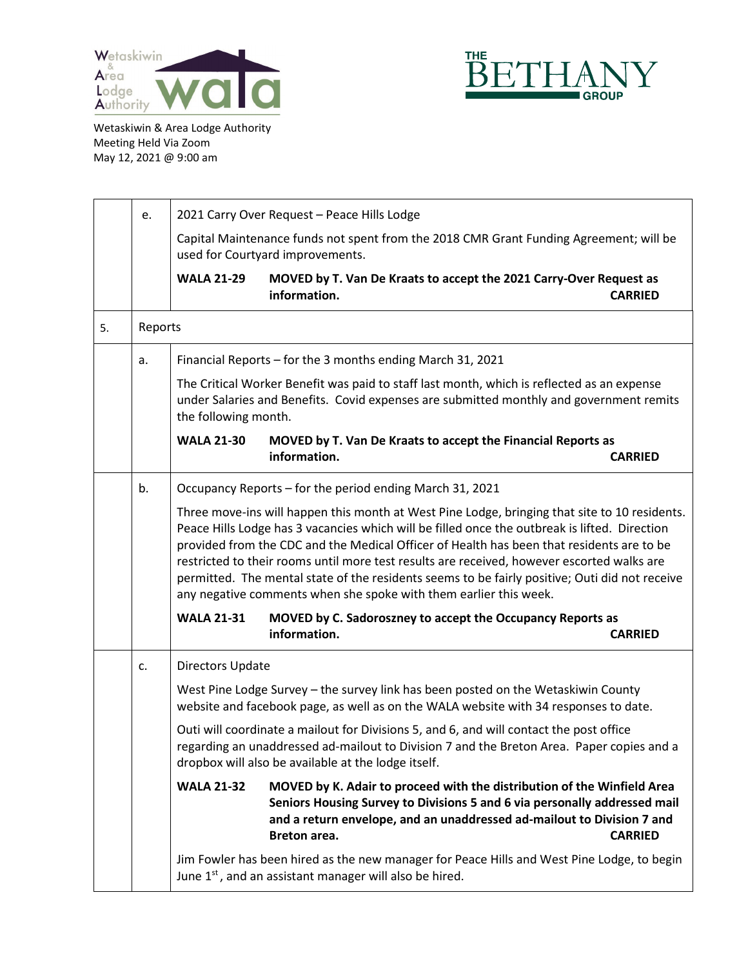



|    | e.      | 2021 Carry Over Request - Peace Hills Lodge                                                                                                                                                                                                 |                                                                                                                                                                                                                                                                                                                                                                                                                                                                                                                                                                  |                |
|----|---------|---------------------------------------------------------------------------------------------------------------------------------------------------------------------------------------------------------------------------------------------|------------------------------------------------------------------------------------------------------------------------------------------------------------------------------------------------------------------------------------------------------------------------------------------------------------------------------------------------------------------------------------------------------------------------------------------------------------------------------------------------------------------------------------------------------------------|----------------|
|    |         | Capital Maintenance funds not spent from the 2018 CMR Grant Funding Agreement; will be<br>used for Courtyard improvements.                                                                                                                  |                                                                                                                                                                                                                                                                                                                                                                                                                                                                                                                                                                  |                |
|    |         | <b>WALA 21-29</b>                                                                                                                                                                                                                           | MOVED by T. Van De Kraats to accept the 2021 Carry-Over Request as<br>information.                                                                                                                                                                                                                                                                                                                                                                                                                                                                               | <b>CARRIED</b> |
| 5. | Reports |                                                                                                                                                                                                                                             |                                                                                                                                                                                                                                                                                                                                                                                                                                                                                                                                                                  |                |
|    | a.      | Financial Reports - for the 3 months ending March 31, 2021                                                                                                                                                                                  |                                                                                                                                                                                                                                                                                                                                                                                                                                                                                                                                                                  |                |
|    |         | The Critical Worker Benefit was paid to staff last month, which is reflected as an expense<br>under Salaries and Benefits. Covid expenses are submitted monthly and government remits<br>the following month.                               |                                                                                                                                                                                                                                                                                                                                                                                                                                                                                                                                                                  |                |
|    |         | <b>WALA 21-30</b>                                                                                                                                                                                                                           | MOVED by T. Van De Kraats to accept the Financial Reports as<br>information.                                                                                                                                                                                                                                                                                                                                                                                                                                                                                     | <b>CARRIED</b> |
|    | b.      | Occupancy Reports – for the period ending March 31, 2021                                                                                                                                                                                    |                                                                                                                                                                                                                                                                                                                                                                                                                                                                                                                                                                  |                |
|    |         |                                                                                                                                                                                                                                             | Three move-ins will happen this month at West Pine Lodge, bringing that site to 10 residents.<br>Peace Hills Lodge has 3 vacancies which will be filled once the outbreak is lifted. Direction<br>provided from the CDC and the Medical Officer of Health has been that residents are to be<br>restricted to their rooms until more test results are received, however escorted walks are<br>permitted. The mental state of the residents seems to be fairly positive; Outi did not receive<br>any negative comments when she spoke with them earlier this week. |                |
|    |         | <b>WALA 21-31</b>                                                                                                                                                                                                                           | MOVED by C. Sadoroszney to accept the Occupancy Reports as<br>information.                                                                                                                                                                                                                                                                                                                                                                                                                                                                                       | <b>CARRIED</b> |
|    | c.      | <b>Directors Update</b>                                                                                                                                                                                                                     |                                                                                                                                                                                                                                                                                                                                                                                                                                                                                                                                                                  |                |
|    |         | West Pine Lodge Survey - the survey link has been posted on the Wetaskiwin County<br>website and facebook page, as well as on the WALA website with 34 responses to date.                                                                   |                                                                                                                                                                                                                                                                                                                                                                                                                                                                                                                                                                  |                |
|    |         | Outi will coordinate a mailout for Divisions 5, and 6, and will contact the post office<br>regarding an unaddressed ad-mailout to Division 7 and the Breton Area. Paper copies and a<br>dropbox will also be available at the lodge itself. |                                                                                                                                                                                                                                                                                                                                                                                                                                                                                                                                                                  |                |
|    |         | <b>WALA 21-32</b>                                                                                                                                                                                                                           | MOVED by K. Adair to proceed with the distribution of the Winfield Area<br>Seniors Housing Survey to Divisions 5 and 6 via personally addressed mail<br>and a return envelope, and an unaddressed ad-mailout to Division 7 and<br>Breton area.                                                                                                                                                                                                                                                                                                                   | <b>CARRIED</b> |
|    |         |                                                                                                                                                                                                                                             | Jim Fowler has been hired as the new manager for Peace Hills and West Pine Lodge, to begin<br>June 1 <sup>st</sup> , and an assistant manager will also be hired.                                                                                                                                                                                                                                                                                                                                                                                                |                |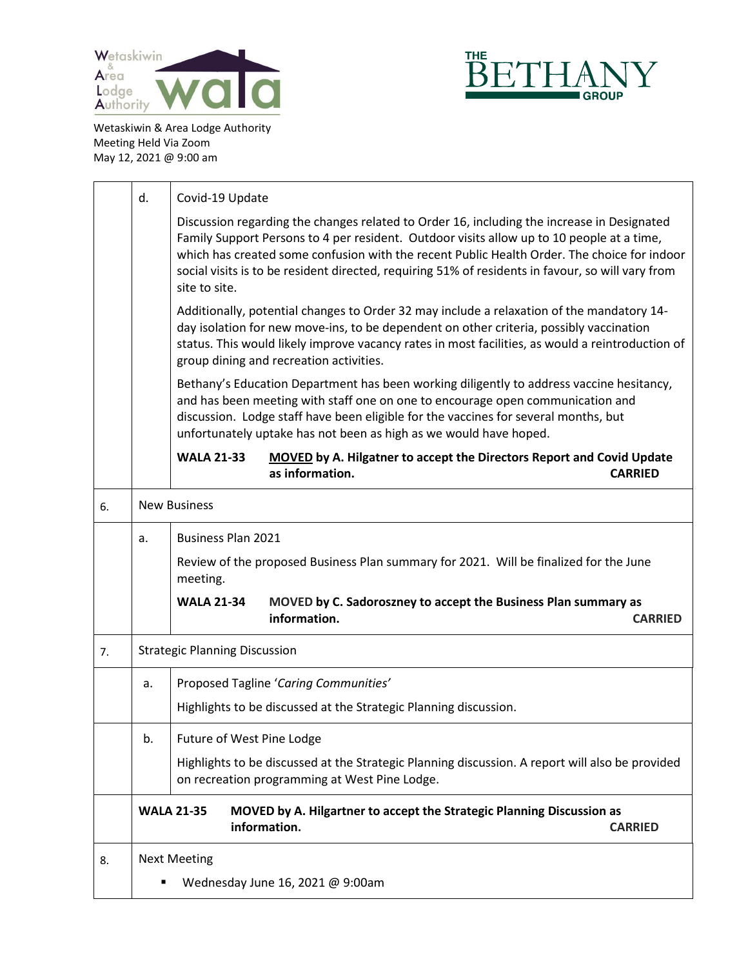



|    | d.                               | Covid-19 Update                                                                                                                                                                                                                                                                                                                                                                                              |  |  |  |
|----|----------------------------------|--------------------------------------------------------------------------------------------------------------------------------------------------------------------------------------------------------------------------------------------------------------------------------------------------------------------------------------------------------------------------------------------------------------|--|--|--|
|    |                                  | Discussion regarding the changes related to Order 16, including the increase in Designated<br>Family Support Persons to 4 per resident. Outdoor visits allow up to 10 people at a time,<br>which has created some confusion with the recent Public Health Order. The choice for indoor<br>social visits is to be resident directed, requiring 51% of residents in favour, so will vary from<br>site to site. |  |  |  |
|    |                                  | Additionally, potential changes to Order 32 may include a relaxation of the mandatory 14-<br>day isolation for new move-ins, to be dependent on other criteria, possibly vaccination<br>status. This would likely improve vacancy rates in most facilities, as would a reintroduction of<br>group dining and recreation activities.                                                                          |  |  |  |
|    |                                  | Bethany's Education Department has been working diligently to address vaccine hesitancy,<br>and has been meeting with staff one on one to encourage open communication and<br>discussion. Lodge staff have been eligible for the vaccines for several months, but<br>unfortunately uptake has not been as high as we would have hoped.                                                                       |  |  |  |
|    |                                  | <b>WALA 21-33</b><br>MOVED by A. Hilgatner to accept the Directors Report and Covid Update<br>as information.<br><b>CARRIED</b>                                                                                                                                                                                                                                                                              |  |  |  |
| 6. |                                  | <b>New Business</b>                                                                                                                                                                                                                                                                                                                                                                                          |  |  |  |
|    | a.                               | <b>Business Plan 2021</b>                                                                                                                                                                                                                                                                                                                                                                                    |  |  |  |
|    |                                  | Review of the proposed Business Plan summary for 2021. Will be finalized for the June<br>meeting.                                                                                                                                                                                                                                                                                                            |  |  |  |
|    |                                  | <b>WALA 21-34</b><br>MOVED by C. Sadoroszney to accept the Business Plan summary as<br>information.<br><b>CARRIED</b>                                                                                                                                                                                                                                                                                        |  |  |  |
| 7. |                                  | <b>Strategic Planning Discussion</b>                                                                                                                                                                                                                                                                                                                                                                         |  |  |  |
|    | a.                               | Proposed Tagline 'Caring Communities'                                                                                                                                                                                                                                                                                                                                                                        |  |  |  |
|    |                                  | Highlights to be discussed at the Strategic Planning discussion.                                                                                                                                                                                                                                                                                                                                             |  |  |  |
|    | b.                               | Future of West Pine Lodge                                                                                                                                                                                                                                                                                                                                                                                    |  |  |  |
|    |                                  | Highlights to be discussed at the Strategic Planning discussion. A report will also be provided<br>on recreation programming at West Pine Lodge.                                                                                                                                                                                                                                                             |  |  |  |
|    |                                  | MOVED by A. Hilgartner to accept the Strategic Planning Discussion as<br><b>WALA 21-35</b><br>information.<br><b>CARRIED</b>                                                                                                                                                                                                                                                                                 |  |  |  |
| 8. |                                  | <b>Next Meeting</b>                                                                                                                                                                                                                                                                                                                                                                                          |  |  |  |
|    | Wednesday June 16, 2021 @ 9:00am |                                                                                                                                                                                                                                                                                                                                                                                                              |  |  |  |